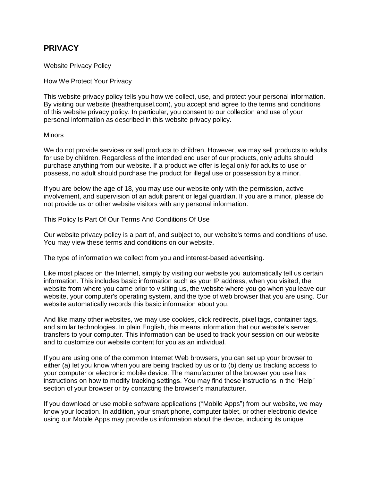# **PRIVACY**

Website Privacy Policy

How We Protect Your Privacy

This website privacy policy tells you how we collect, use, and protect your personal information. By visiting our website (heatherquisel.com), you accept and agree to the terms and conditions of this website privacy policy. In particular, you consent to our collection and use of your personal information as described in this website privacy policy.

## **Minors**

We do not provide services or sell products to children. However, we may sell products to adults for use by children. Regardless of the intended end user of our products, only adults should purchase anything from our website. If a product we offer is legal only for adults to use or possess, no adult should purchase the product for illegal use or possession by a minor.

If you are below the age of 18, you may use our website only with the permission, active involvement, and supervision of an adult parent or legal guardian. If you are a minor, please do not provide us or other website visitors with any personal information.

This Policy Is Part Of Our Terms And Conditions Of Use

Our website privacy policy is a part of, and subject to, our website's terms and conditions of use. You may view these terms and conditions on our website.

The type of information we collect from you and interest-based advertising.

Like most places on the Internet, simply by visiting our website you automatically tell us certain information. This includes basic information such as your IP address, when you visited, the website from where you came prior to visiting us, the website where you go when you leave our website, your computer's operating system, and the type of web browser that you are using. Our website automatically records this basic information about you.

And like many other websites, we may use cookies, click redirects, pixel tags, container tags, and similar technologies. In plain English, this means information that our website's server transfers to your computer. This information can be used to track your session on our website and to customize our website content for you as an individual.

If you are using one of the common Internet Web browsers, you can set up your browser to either (a) let you know when you are being tracked by us or to (b) deny us tracking access to your computer or electronic mobile device. The manufacturer of the browser you use has instructions on how to modify tracking settings. You may find these instructions in the "Help" section of your browser or by contacting the browser's manufacturer.

If you download or use mobile software applications ("Mobile Apps") from our website, we may know your location. In addition, your smart phone, computer tablet, or other electronic device using our Mobile Apps may provide us information about the device, including its unique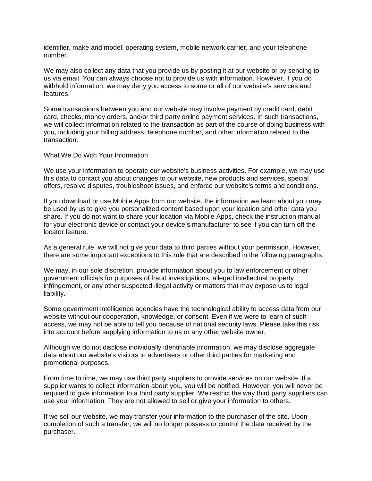identifier, make and model, operating system, mobile network carrier, and your telephone number.

We may also collect any data that you provide us by posting it at our website or by sending to us via email. You can always choose not to provide us with information. However, if you do withhold information, we may deny you access to some or all of our website's services and features.

Some transactions between you and our website may involve payment by credit card, debit card, checks, money orders, and/or third party online payment services. In such transactions, we will collect information related to the transaction as part of the course of doing business with you, including your billing address, telephone number, and other information related to the transaction.

What We Do With Your Information

We use your information to operate our website's business activities. For example, we may use this data to contact you about changes to our website, new products and services, special offers, resolve disputes, troubleshoot issues, and enforce our website's terms and conditions.

If you download or use Mobile Apps from our website, the information we learn about you may be used by us to give you personalized content based upon your location and other data you share. If you do not want to share your location via Mobile Apps, check the instruction manual for your electronic device or contact your device's manufacturer to see if you can turn off the locator feature.

As a general rule, we will not give your data to third parties without your permission. However, there are some important exceptions to this rule that are described in the following paragraphs.

We may, in our sole discretion, provide information about you to law enforcement or other government officials for purposes of fraud investigations, alleged intellectual property infringement, or any other suspected illegal activity or matters that may expose us to legal liability.

Some government intelligence agencies have the technological ability to access data from our website without our cooperation, knowledge, or consent. Even if we were to learn of such access, we may not be able to tell you because of national security laws. Please take this risk into account before supplying information to us or any other website owner.

Although we do not disclose individually identifiable information, we may disclose aggregate data about our website's visitors to advertisers or other third parties for marketing and promotional purposes.

From time to time, we may use third party suppliers to provide services on our website. If a supplier wants to collect information about you, you will be notified. However, you will never be required to give information to a third party supplier. We restrict the way third party suppliers can use your information. They are not allowed to sell or give your information to others.

If we sell our website, we may transfer your information to the purchaser of the site. Upon completion of such a transfer, we will no longer possess or control the data received by the purchaser.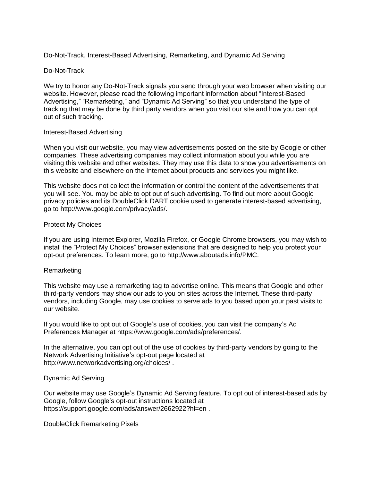Do-Not-Track, Interest-Based Advertising, Remarketing, and Dynamic Ad Serving

## Do-Not-Track

We try to honor any Do-Not-Track signals you send through your web browser when visiting our website. However, please read the following important information about "Interest-Based Advertising," "Remarketing," and "Dynamic Ad Serving" so that you understand the type of tracking that may be done by third party vendors when you visit our site and how you can opt out of such tracking.

## Interest-Based Advertising

When you visit our website, you may view advertisements posted on the site by Google or other companies. These advertising companies may collect information about you while you are visiting this website and other websites. They may use this data to show you advertisements on this website and elsewhere on the Internet about products and services you might like.

This website does not collect the information or control the content of the advertisements that you will see. You may be able to opt out of such advertising. To find out more about Google privacy policies and its DoubleClick DART cookie used to generate interest-based advertising, go to http://www.google.com/privacy/ads/.

## Protect My Choices

If you are using Internet Explorer, Mozilla Firefox, or Google Chrome browsers, you may wish to install the "Protect My Choices" browser extensions that are designed to help you protect your opt-out preferences. To learn more, go to http://www.aboutads.info/PMC.

## Remarketing

This website may use a remarketing tag to advertise online. This means that Google and other third-party vendors may show our ads to you on sites across the Internet. These third-party vendors, including Google, may use cookies to serve ads to you based upon your past visits to our website.

If you would like to opt out of Google's use of cookies, you can visit the company's Ad Preferences Manager at https://www.google.com/ads/preferences/.

In the alternative, you can opt out of the use of cookies by third-party vendors by going to the Network Advertising Initiative's opt-out page located at http://www.networkadvertising.org/choices/ .

## Dynamic Ad Serving

Our website may use Google's Dynamic Ad Serving feature. To opt out of interest-based ads by Google, follow Google's opt-out instructions located at https://support.google.com/ads/answer/2662922?hl=en .

DoubleClick Remarketing Pixels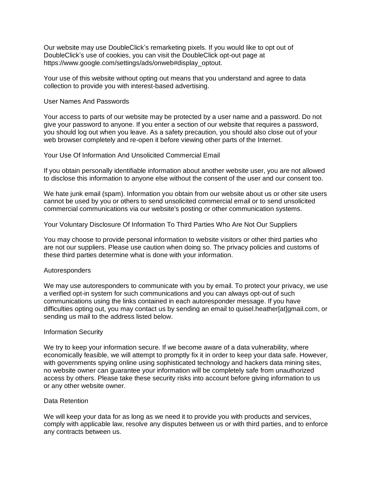Our website may use DoubleClick's remarketing pixels. If you would like to opt out of DoubleClick's use of cookies, you can visit the DoubleClick opt-out page at https://www.google.com/settings/ads/onweb#display\_optout.

Your use of this website without opting out means that you understand and agree to data collection to provide you with interest-based advertising.

#### User Names And Passwords

Your access to parts of our website may be protected by a user name and a password. Do not give your password to anyone. If you enter a section of our website that requires a password, you should log out when you leave. As a safety precaution, you should also close out of your web browser completely and re-open it before viewing other parts of the Internet.

#### Your Use Of Information And Unsolicited Commercial Email

If you obtain personally identifiable information about another website user, you are not allowed to disclose this information to anyone else without the consent of the user and our consent too.

We hate junk email (spam). Information you obtain from our website about us or other site users cannot be used by you or others to send unsolicited commercial email or to send unsolicited commercial communications via our website's posting or other communication systems.

Your Voluntary Disclosure Of Information To Third Parties Who Are Not Our Suppliers

You may choose to provide personal information to website visitors or other third parties who are not our suppliers. Please use caution when doing so. The privacy policies and customs of these third parties determine what is done with your information.

## Autoresponders

We may use autoresponders to communicate with you by email. To protect your privacy, we use a verified opt-in system for such communications and you can always opt-out of such communications using the links contained in each autoresponder message. If you have difficulties opting out, you may contact us by sending an email to quisel.heather[at]gmail.com, or sending us mail to the address listed below.

## Information Security

We try to keep your information secure. If we become aware of a data vulnerability, where economically feasible, we will attempt to promptly fix it in order to keep your data safe. However, with governments spying online using sophisticated technology and hackers data mining sites, no website owner can guarantee your information will be completely safe from unauthorized access by others. Please take these security risks into account before giving information to us or any other website owner.

#### Data Retention

We will keep your data for as long as we need it to provide you with products and services, comply with applicable law, resolve any disputes between us or with third parties, and to enforce any contracts between us.